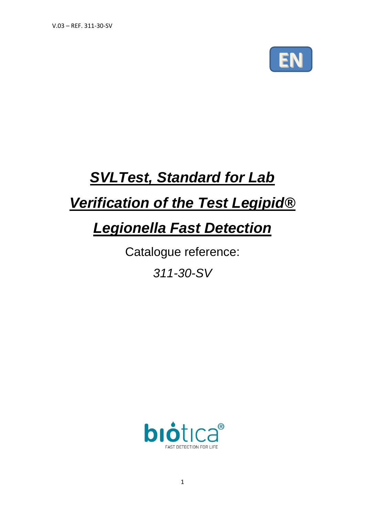

# *SVLTest, Standard for Lab*

# *Verification of the Test Legipid®*

# *Legionella Fast Detection*

Catalogue reference:

*311-30-SV*

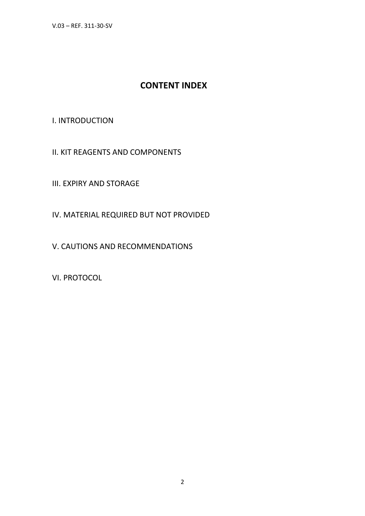V.03 – REF. 311-30-SV

# **CONTENT INDEX**

### I. INTRODUCTION

II. KIT REAGENTS AND COMPONENTS

III. EXPIRY AND STORAGE

IV. MATERIAL REQUIRED BUT NOT PROVIDED

V. CAUTIONS AND RECOMMENDATIONS

VI. PROTOCOL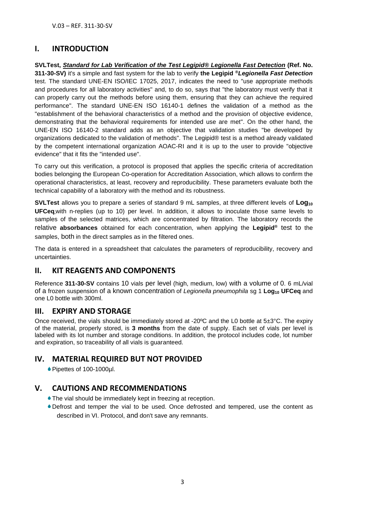## **I. INTRODUCTION**

**SVLTest,** *Standard for Lab Verification of the Test Legipid® Legionella Fast Detection* **(Ref. No. 311-30-SV)** it's a simple and fast system for the lab to verify **the Legipid ®***Legionella Fast Detection* test. The standard UNE-EN ISO/IEC 17025, 2017, indicates the need to "use appropriate methods and procedures for all laboratory activities" and, to do so, says that "the laboratory must verify that it can properly carry out the methods before using them, ensuring that they can achieve the required performance". The standard UNE-EN ISO 16140-1 defines the validation of a method as the "establishment of the behavioral characteristics of a method and the provision of objective evidence, demonstrating that the behavioral requirements for intended use are met". On the other hand, the UNE-EN ISO 16140-2 standard adds as an objective that validation studies "be developed by organizations dedicated to the validation of methods". The Legipid® test is a method already validated by the competent international organization AOAC-RI and it is up to the user to provide "objective evidence" that it fits the "intended use".

To carry out this verification, a protocol is proposed that applies the specific criteria of accreditation bodies belonging the European Co-operation for Accreditation Association, which allows to confirm the operational characteristics, at least, recovery and reproducibility. These parameters evaluate both the technical capability of a laboratory with the method and its robustness.

**SVLTest** allows you to prepare a series of standard 9 mL samples, at three different levels of **Log<sup>10</sup> UFCeq,**with n-replies (up to 10) per level. In addition, it allows to inoculate those same levels to samples of the selected matrices, which are concentrated by filtration. The laboratory records the relative **absorbances** obtained for each concentration, when applying the **Legipid®** test to the samples, both in the direct samples as in the filtered ones.

The data is entered in a spreadsheet that calculates the parameters of reproducibility, recovery and uncertainties.

## **II. KIT REAGENTS AND COMPONENTS**

Reference **311-30-SV** contains 10 vials per level (high, medium, low) with a volume of 0. 6 mL/vial of a frozen suspension of a known concentration of *Legionella pneumophila* sg 1 **Log<sup>10</sup> UFCeq** and one L0 bottle with 300ml.

## **III. EXPIRY AND STORAGE**

Once received, the vials should be immediately stored at -20ºC and the L0 bottle at 5±3°C. The expiry of the material, properly stored, is **3 months** from the date of supply. Each set of vials per level is labeled with its lot number and storage conditions. In addition, the protocol includes code, lot number and expiration, so traceability of all vials is guaranteed.

## **IV. MATERIAL REQUIRED BUT NOT PROVIDED**

Pipettes of 100-1000µl.

## **V. CAUTIONS AND RECOMMENDATIONS**

- The vial should be immediately kept in freezing at reception.
- Defrost and temper the vial to be used. Once defrosted and tempered, use the content as described in VI. Protocol, and don't save any remnants.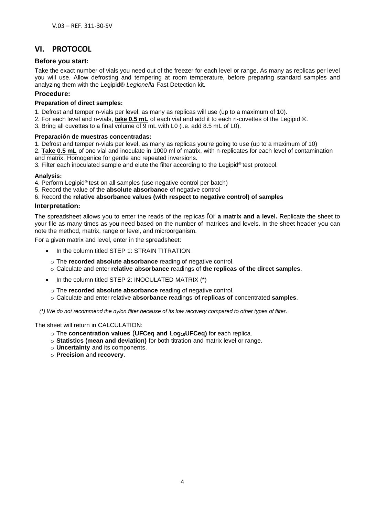# **VI. PROTOCOL**

#### **Before you start:**

Take the exact number of vials you need out of the freezer for each level or range. As many as replicas per level you will use. Allow defrosting and tempering at room temperature, before preparing standard samples and analyzing them with the Legipid® *Legionella* Fast Detection kit.

#### **Procedure:**

#### **Preparation of direct samples:**

- 1. Defrost and temper n-vials per level, as many as replicas will use (up to a maximum of 10).
- 2. For each level and n-vials, **take 0.5 mL** of each vial and add it to each n-cuvettes of the Legipid ®.
- 3. Bring all cuvettes to a final volume of 9 mL with L0 (i.e. add 8.5 mL of L0).

#### **Preparación de muestras concentradas:**

- 1. Defrost and temper n-vials per level, as many as replicas you're going to use (up to a maximum of 10)
- 2. **Take 0.5 mL** of one vial and inoculate in 1000 ml of matrix, with n-replicates for each level of contamination and matrix. Homogenice for gentle and repeated inversions.

3. Filter each inoculated sample and elute the filter according to the Legipid ® test protocol.

#### **Analysis:**

- 4. Perform Legipid® test on all samples (use negative control per batch)
- 5. Record the value of the **absolute absorbance** of negative control

#### 6. Record the **relative absorbance values (with respect to negative control) of samples**

#### **Interpretation:**

The spreadsheet allows you to enter the reads of the replicas for **a matrix and a level.** Replicate the sheet to your file as many times as you need based on the number of matrices and levels. In the sheet header you can note the method, matrix, range or level, and microorganism.

For a given matrix and level, enter in the spreadsheet:

- In the column titled STEP 1: STRAIN TITRATION
	- o The **recorded absolute absorbance** reading of negative control.
	- o Calculate and enter **relative absorbance** readings of **the replicas of the direct samples**.
- In the column titled STEP 2: INOCULATED MATRIX (\*)
- o The **recorded absolute absorbance** reading of negative control.
- o Calculate and enter relative **absorbance** readings **of replicas of** concentrated **samples**.

*(\*) We do not recommend the nylon filter because of its low recovery compared to other types of filter.*

The sheet will return in CALCULATION:

- o The **concentration values** (**UFCeq and Log10UFCeq)** for each replica.
- o **Statistics (mean and deviation)** for both titration and matrix level or range.
- o **Uncertainty** and its components.
- o **Precision** and **recovery**.